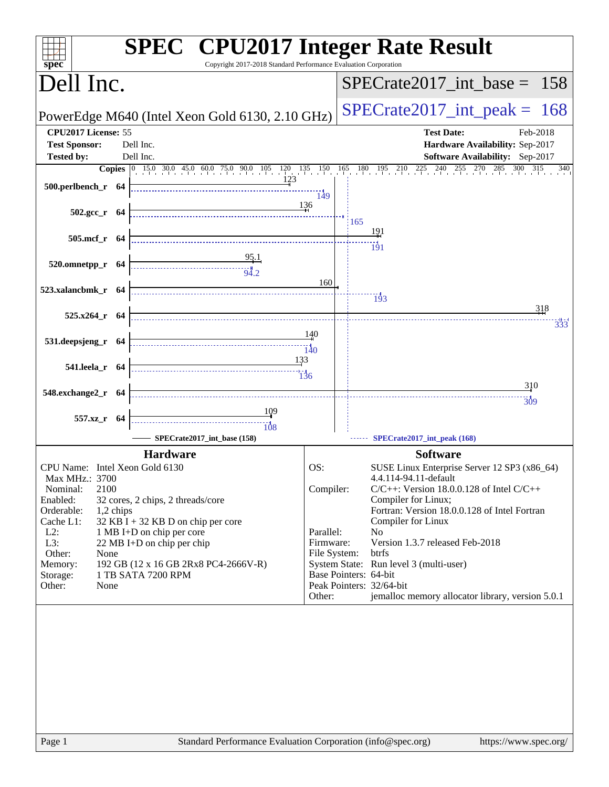| Copyright 2017-2018 Standard Performance Evaluation Corporation<br>$spec^*$                                                                                                                                                                                                                                                                                                                                                                                         | <b>SPEC<sup>®</sup></b> CPU2017 Integer Rate Result                                                                                                                                                                                                                                                                                                                                                                                                                                                                 |
|---------------------------------------------------------------------------------------------------------------------------------------------------------------------------------------------------------------------------------------------------------------------------------------------------------------------------------------------------------------------------------------------------------------------------------------------------------------------|---------------------------------------------------------------------------------------------------------------------------------------------------------------------------------------------------------------------------------------------------------------------------------------------------------------------------------------------------------------------------------------------------------------------------------------------------------------------------------------------------------------------|
| Dell Inc.                                                                                                                                                                                                                                                                                                                                                                                                                                                           | $SPECrate2017\_int\_base = 158$                                                                                                                                                                                                                                                                                                                                                                                                                                                                                     |
| PowerEdge M640 (Intel Xeon Gold 6130, 2.10 GHz)                                                                                                                                                                                                                                                                                                                                                                                                                     | $SPECrate2017\_int\_peak = 168$                                                                                                                                                                                                                                                                                                                                                                                                                                                                                     |
| CPU2017 License: 55<br><b>Test Sponsor:</b><br>Dell Inc.                                                                                                                                                                                                                                                                                                                                                                                                            | <b>Test Date:</b><br>Feb-2018<br>Hardware Availability: Sep-2017                                                                                                                                                                                                                                                                                                                                                                                                                                                    |
| Dell Inc.<br><b>Tested by:</b>                                                                                                                                                                                                                                                                                                                                                                                                                                      | <b>Software Availability:</b> Sep-2017<br>340                                                                                                                                                                                                                                                                                                                                                                                                                                                                       |
| 123                                                                                                                                                                                                                                                                                                                                                                                                                                                                 | <b>Copies</b> 0 15.0 30.0 45.0 60.0 75.0 90.0 105 120 135 150 165 180 195 210 225 240 255 270 285 300 315<br>149                                                                                                                                                                                                                                                                                                                                                                                                    |
| $502.\text{gcc}_r$ 64                                                                                                                                                                                                                                                                                                                                                                                                                                               | 136<br>165                                                                                                                                                                                                                                                                                                                                                                                                                                                                                                          |
| 505.mcf_r 64                                                                                                                                                                                                                                                                                                                                                                                                                                                        | 191<br>$\frac{11}{191}$                                                                                                                                                                                                                                                                                                                                                                                                                                                                                             |
| $\frac{95.1}{94.2}$<br>520.omnetpp_r 64                                                                                                                                                                                                                                                                                                                                                                                                                             | 160                                                                                                                                                                                                                                                                                                                                                                                                                                                                                                                 |
| 523.xalancbmk_r 64                                                                                                                                                                                                                                                                                                                                                                                                                                                  | $\frac{13}{3}$<br>318                                                                                                                                                                                                                                                                                                                                                                                                                                                                                               |
| 525.x264_r 64                                                                                                                                                                                                                                                                                                                                                                                                                                                       | 333                                                                                                                                                                                                                                                                                                                                                                                                                                                                                                                 |
| $\begin{array}{c}\n\overbrace{\hspace{1.5cm}}\hspace{1.5cm} \cdots \hspace{1.5cm} \cdots \hspace{1.5cm}}^{17^{\circ}} \\ \overbrace{\hspace{1.5cm}}\hspace{1.5cm} \cdots \hspace{1.5cm}}^{17^{\circ}} \\ \overbrace{\hspace{1.5cm}}\hspace{1.5cm} \cdots \hspace{1.5cm}}^{17^{\circ}} \\ \overbrace{\hspace{1.5cm}}\hspace{1.5cm} \cdots \hspace{1.5cm}}^{17^{\circ}} \\ \overbrace{\hspace{1.5cm}}\hspace{1.5cm} \cdots \hspace{1.5cm}}^{17$<br>531.deepsjeng_r 64 |                                                                                                                                                                                                                                                                                                                                                                                                                                                                                                                     |
| 541.leela_r 64                                                                                                                                                                                                                                                                                                                                                                                                                                                      | 310                                                                                                                                                                                                                                                                                                                                                                                                                                                                                                                 |
| 548.exchange2_r 64                                                                                                                                                                                                                                                                                                                                                                                                                                                  | $\frac{11}{309}$                                                                                                                                                                                                                                                                                                                                                                                                                                                                                                    |
| $\begin{array}{c c}\n & 109 \\  & 108\n\end{array}$<br>557.xz_r 64<br>SPECrate2017_int_base (158)                                                                                                                                                                                                                                                                                                                                                                   | SPECrate2017_int_peak (168)                                                                                                                                                                                                                                                                                                                                                                                                                                                                                         |
|                                                                                                                                                                                                                                                                                                                                                                                                                                                                     |                                                                                                                                                                                                                                                                                                                                                                                                                                                                                                                     |
| <b>Hardware</b><br>CPU Name: Intel Xeon Gold 6130<br>Max MHz.: 3700<br>2100<br>Nominal:<br>Enabled:<br>32 cores, 2 chips, 2 threads/core<br>Orderable:<br>1,2 chips<br>Cache L1:<br>32 KB I + 32 KB D on chip per core<br>$L2$ :<br>1 MB I+D on chip per core<br>L3:<br>22 MB I+D on chip per chip<br>Other:<br>None<br>192 GB (12 x 16 GB 2Rx8 PC4-2666V-R)<br>Memory:<br>1 TB SATA 7200 RPM<br>Storage:<br>Other:<br>None                                         | <b>Software</b><br>OS:<br>SUSE Linux Enterprise Server 12 SP3 (x86_64)<br>4.4.114-94.11-default<br>Compiler:<br>$C/C++$ : Version 18.0.0.128 of Intel $C/C++$<br>Compiler for Linux;<br>Fortran: Version 18.0.0.128 of Intel Fortran<br>Compiler for Linux<br>Parallel:<br>No<br>Version 1.3.7 released Feb-2018<br>Firmware:<br>File System:<br>btrfs<br>System State: Run level 3 (multi-user)<br>Base Pointers: 64-bit<br>Peak Pointers: 32/64-bit<br>jemalloc memory allocator library, version 5.0.1<br>Other: |
|                                                                                                                                                                                                                                                                                                                                                                                                                                                                     |                                                                                                                                                                                                                                                                                                                                                                                                                                                                                                                     |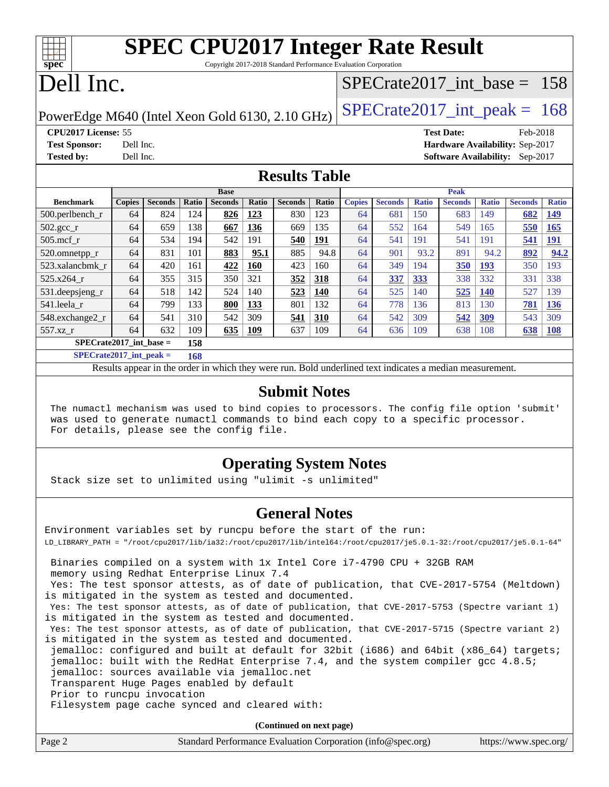| <b>SPEC CPU2017 Integer Rate Result</b>                         |  |
|-----------------------------------------------------------------|--|
| Convright 2017 2018 Standard Performance Evaluation Corporation |  |

Copyright 2017-2018 Standard Performance Evaluation Corporation

# Dell Inc.

**[spec](http://www.spec.org/)**

## [SPECrate2017\\_int\\_base =](http://www.spec.org/auto/cpu2017/Docs/result-fields.html#SPECrate2017intbase) 158

PowerEdge M640 (Intel Xeon Gold 6130, 2.10 GHz)  $\left|$  SPECrate 2017 int peak = 168

**[CPU2017 License:](http://www.spec.org/auto/cpu2017/Docs/result-fields.html#CPU2017License)** 55 **[Test Date:](http://www.spec.org/auto/cpu2017/Docs/result-fields.html#TestDate)** Feb-2018 **[Test Sponsor:](http://www.spec.org/auto/cpu2017/Docs/result-fields.html#TestSponsor)** Dell Inc. **[Hardware Availability:](http://www.spec.org/auto/cpu2017/Docs/result-fields.html#HardwareAvailability)** Sep-2017 **[Tested by:](http://www.spec.org/auto/cpu2017/Docs/result-fields.html#Testedby)** Dell Inc. **[Software Availability:](http://www.spec.org/auto/cpu2017/Docs/result-fields.html#SoftwareAvailability)** Sep-2017

### **[Results Table](http://www.spec.org/auto/cpu2017/Docs/result-fields.html#ResultsTable)**

|                           | <b>Base</b>   |                |       |                |              |                | <b>Peak</b> |               |                |              |                |              |                |              |
|---------------------------|---------------|----------------|-------|----------------|--------------|----------------|-------------|---------------|----------------|--------------|----------------|--------------|----------------|--------------|
| <b>Benchmark</b>          | <b>Copies</b> | <b>Seconds</b> | Ratio | <b>Seconds</b> | <b>Ratio</b> | <b>Seconds</b> | Ratio       | <b>Copies</b> | <b>Seconds</b> | <b>Ratio</b> | <b>Seconds</b> | <b>Ratio</b> | <b>Seconds</b> | <b>Ratio</b> |
| 500.perlbench_r           | 64            | 824            | 24    | 826            | 123          | 830            | 123         | 64            | 681            | 150          | 683            | 149          | 682            | <u>149</u>   |
| $502.\text{sec}$          | 64            | 659            | 138   | 667            | 136          | 669            | 135         | 64            | 552            | 164          | 549            | 165          | 550            | 165          |
| $505$ .mcf r              | 64            | 534            | 194   | 542            | 191          | 540            | <u>191</u>  | 64            | 541            | 191          | 541            | 191          | 541            | <u>191</u>   |
| 520.omnetpp_r             | 64            | 831            | 101   | 883            | 95.1         | 885            | 94.8        | 64            | 901            | 93.2         | 891            | 94.2         | 892            | 94.2         |
| 523.xalancbmk r           | 64            | 420            | 161   | 422            | 160          | 423            | 160         | 64            | 349            | 194          | 350            | 193          | 350            | 193          |
| 525.x264 r                | 64            | 355            | 315   | 350            | 321          | 352            | 318         | 64            | 337            | <u>333</u>   | 338            | 332          | 331            | 338          |
| 531.deepsjeng_r           | 64            | 518            | 142   | 524            | 140          | 523            | 140         | 64            | 525            | 140          | 525            | <b>140</b>   | 527            | 139          |
| 541.leela r               | 64            | 799            | 133   | 800            | 133          | 801            | 132         | 64            | 778            | 136          | 813            | 130          | 781            | 136          |
| 548.exchange2 r           | 64            | 541            | 310   | 542            | 309          | 541            | 310         | 64            | 542            | 309          | 542            | 309          | 543            | 309          |
| 557.xz r                  | 64            | 632            | 109   | 635            | 109          | 637            | 109         | 64            | 636            | 109          | 638            | 108          | 638            | <b>108</b>   |
| $SPECrate2017$ int base = |               |                | 158   |                |              |                |             |               |                |              |                |              |                |              |

**[SPECrate2017\\_int\\_peak =](http://www.spec.org/auto/cpu2017/Docs/result-fields.html#SPECrate2017intpeak) 168**

Results appear in the [order in which they were run.](http://www.spec.org/auto/cpu2017/Docs/result-fields.html#RunOrder) Bold underlined text [indicates a median measurement.](http://www.spec.org/auto/cpu2017/Docs/result-fields.html#Median)

#### **[Submit Notes](http://www.spec.org/auto/cpu2017/Docs/result-fields.html#SubmitNotes)**

 The numactl mechanism was used to bind copies to processors. The config file option 'submit' was used to generate numactl commands to bind each copy to a specific processor. For details, please see the config file.

## **[Operating System Notes](http://www.spec.org/auto/cpu2017/Docs/result-fields.html#OperatingSystemNotes)**

Stack size set to unlimited using "ulimit -s unlimited"

### **[General Notes](http://www.spec.org/auto/cpu2017/Docs/result-fields.html#GeneralNotes)**

Environment variables set by runcpu before the start of the run: LD\_LIBRARY\_PATH = "/root/cpu2017/lib/ia32:/root/cpu2017/lib/intel64:/root/cpu2017/je5.0.1-32:/root/cpu2017/je5.0.1-64"

 Binaries compiled on a system with 1x Intel Core i7-4790 CPU + 32GB RAM memory using Redhat Enterprise Linux 7.4

 Yes: The test sponsor attests, as of date of publication, that CVE-2017-5754 (Meltdown) is mitigated in the system as tested and documented.

 Yes: The test sponsor attests, as of date of publication, that CVE-2017-5753 (Spectre variant 1) is mitigated in the system as tested and documented.

 Yes: The test sponsor attests, as of date of publication, that CVE-2017-5715 (Spectre variant 2) is mitigated in the system as tested and documented.

 jemalloc: configured and built at default for 32bit (i686) and 64bit (x86\_64) targets; jemalloc: built with the RedHat Enterprise 7.4, and the system compiler gcc 4.8.5; jemalloc: sources available via jemalloc.net

Transparent Huge Pages enabled by default

Prior to runcpu invocation

Filesystem page cache synced and cleared with:

**(Continued on next page)**

| Page 2<br>Standard Performance Evaluation Corporation (info@spec.org) | https://www.spec.org/ |
|-----------------------------------------------------------------------|-----------------------|
|-----------------------------------------------------------------------|-----------------------|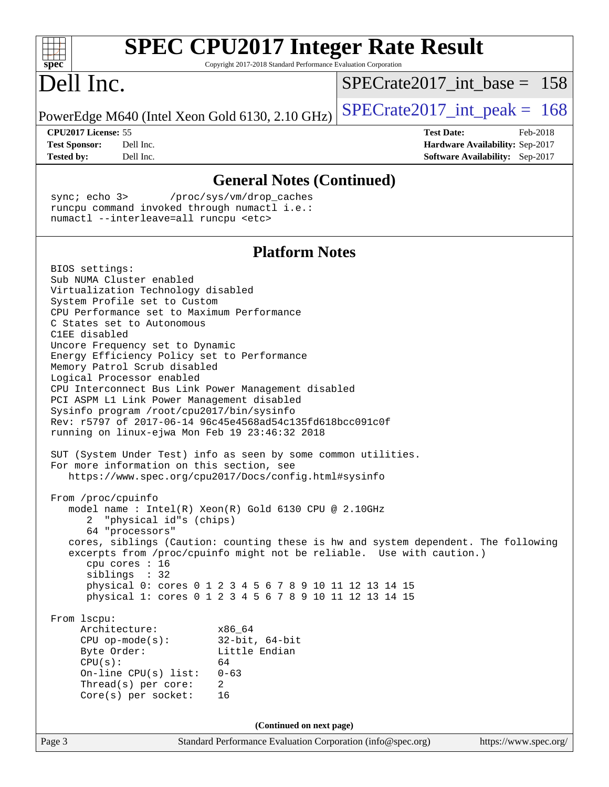| <b>SPEC CPU2017 Integer Rate Result</b><br>Copyright 2017-2018 Standard Performance Evaluation Corporation<br>spec <sup>®</sup>                             |                                                                    |  |  |  |  |
|-------------------------------------------------------------------------------------------------------------------------------------------------------------|--------------------------------------------------------------------|--|--|--|--|
| Dell Inc.                                                                                                                                                   | $SPECrate2017$ int base = 158                                      |  |  |  |  |
| PowerEdge M640 (Intel Xeon Gold 6130, 2.10 GHz)                                                                                                             | $SPECrate2017\_int\_peak = 168$                                    |  |  |  |  |
| CPU2017 License: 55                                                                                                                                         | <b>Test Date:</b><br>Feb-2018                                      |  |  |  |  |
| <b>Test Sponsor:</b><br>Dell Inc.<br>Dell Inc.<br><b>Tested by:</b>                                                                                         | Hardware Availability: Sep-2017<br>Software Availability: Sep-2017 |  |  |  |  |
|                                                                                                                                                             |                                                                    |  |  |  |  |
| <b>General Notes (Continued)</b>                                                                                                                            |                                                                    |  |  |  |  |
| sync $i$ echo $3$<br>/proc/sys/vm/drop_caches<br>runcpu command invoked through numactl i.e.:<br>numactl --interleave=all runcpu <etc></etc>                |                                                                    |  |  |  |  |
| <b>Platform Notes</b>                                                                                                                                       |                                                                    |  |  |  |  |
| BIOS settings:                                                                                                                                              |                                                                    |  |  |  |  |
| Sub NUMA Cluster enabled<br>Virtualization Technology disabled                                                                                              |                                                                    |  |  |  |  |
| System Profile set to Custom                                                                                                                                |                                                                    |  |  |  |  |
| CPU Performance set to Maximum Performance<br>C States set to Autonomous                                                                                    |                                                                    |  |  |  |  |
| C1EE disabled                                                                                                                                               |                                                                    |  |  |  |  |
| Uncore Frequency set to Dynamic<br>Energy Efficiency Policy set to Performance                                                                              |                                                                    |  |  |  |  |
| Memory Patrol Scrub disabled                                                                                                                                |                                                                    |  |  |  |  |
| Logical Processor enabled<br>CPU Interconnect Bus Link Power Management disabled                                                                            |                                                                    |  |  |  |  |
| PCI ASPM L1 Link Power Management disabled                                                                                                                  |                                                                    |  |  |  |  |
| Sysinfo program /root/cpu2017/bin/sysinfo<br>Rev: r5797 of 2017-06-14 96c45e4568ad54c135fd618bcc091c0f                                                      |                                                                    |  |  |  |  |
| running on linux-ejwa Mon Feb 19 23:46:32 2018                                                                                                              |                                                                    |  |  |  |  |
| SUT (System Under Test) info as seen by some common utilities.                                                                                              |                                                                    |  |  |  |  |
| For more information on this section, see                                                                                                                   |                                                                    |  |  |  |  |
| https://www.spec.org/cpu2017/Docs/config.html#sysinfo                                                                                                       |                                                                    |  |  |  |  |
| From /proc/cpuinfo                                                                                                                                          |                                                                    |  |  |  |  |
| model name : Intel(R) Xeon(R) Gold 6130 CPU @ 2.10GHz<br>"physical id"s (chips)                                                                             |                                                                    |  |  |  |  |
| 64 "processors"                                                                                                                                             |                                                                    |  |  |  |  |
| cores, siblings (Caution: counting these is hw and system dependent. The following<br>excerpts from /proc/cpuinfo might not be reliable. Use with caution.) |                                                                    |  |  |  |  |
| cpu cores : 16                                                                                                                                              |                                                                    |  |  |  |  |
| siblings : 32                                                                                                                                               |                                                                    |  |  |  |  |
| physical 0: cores 0 1 2 3 4 5 6 7 8 9 10 11 12 13 14 15<br>physical 1: cores 0 1 2 3 4 5 6 7 8 9 10 11 12 13 14 15                                          |                                                                    |  |  |  |  |
| From 1scpu:                                                                                                                                                 |                                                                    |  |  |  |  |
| Architecture:<br>x86 64                                                                                                                                     |                                                                    |  |  |  |  |
| $CPU op-mode(s):$<br>$32$ -bit, $64$ -bit<br>Byte Order:<br>Little Endian                                                                                   |                                                                    |  |  |  |  |
| CPU(s):<br>64                                                                                                                                               |                                                                    |  |  |  |  |
| On-line $CPU(s)$ list:<br>$0 - 63$<br>Thread(s) per core:<br>$\overline{2}$                                                                                 |                                                                    |  |  |  |  |
| $Core(s)$ per socket:<br>16                                                                                                                                 |                                                                    |  |  |  |  |
|                                                                                                                                                             |                                                                    |  |  |  |  |
| (Continued on next page)<br>Standard Performance Evaluation Corporation (info@spec.org)<br>Page 3                                                           | https://www.spec.org/                                              |  |  |  |  |
|                                                                                                                                                             |                                                                    |  |  |  |  |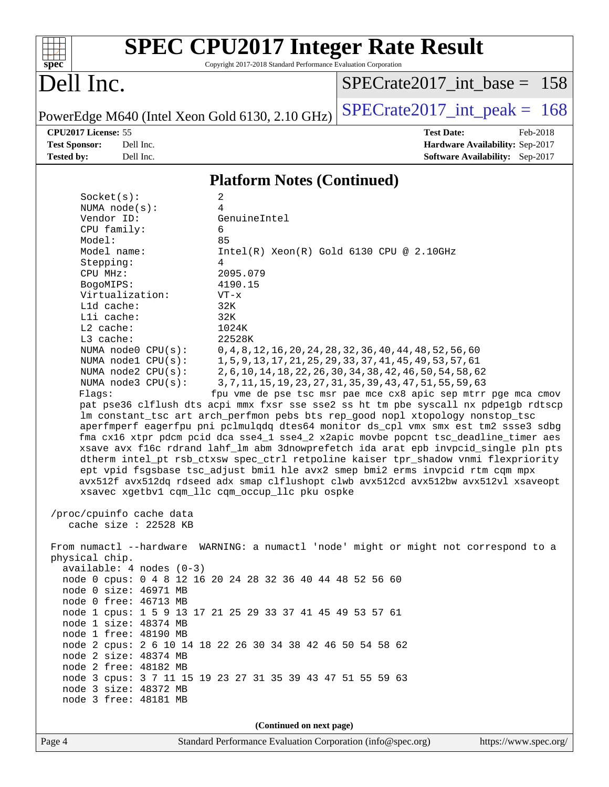

# **[SPEC CPU2017 Integer Rate Result](http://www.spec.org/auto/cpu2017/Docs/result-fields.html#SPECCPU2017IntegerRateResult)**

Copyright 2017-2018 Standard Performance Evaluation Corporation

# Dell Inc.

[SPECrate2017\\_int\\_base =](http://www.spec.org/auto/cpu2017/Docs/result-fields.html#SPECrate2017intbase) 158

PowerEdge M640 (Intel Xeon Gold 6130, 2.10 GHz)  $\left|$  [SPECrate2017\\_int\\_peak =](http://www.spec.org/auto/cpu2017/Docs/result-fields.html#SPECrate2017intpeak) 168

**[CPU2017 License:](http://www.spec.org/auto/cpu2017/Docs/result-fields.html#CPU2017License)** 55 **[Test Date:](http://www.spec.org/auto/cpu2017/Docs/result-fields.html#TestDate)** Feb-2018 **[Test Sponsor:](http://www.spec.org/auto/cpu2017/Docs/result-fields.html#TestSponsor)** Dell Inc. **[Hardware Availability:](http://www.spec.org/auto/cpu2017/Docs/result-fields.html#HardwareAvailability)** Sep-2017 **[Tested by:](http://www.spec.org/auto/cpu2017/Docs/result-fields.html#Testedby)** Dell Inc. **[Software Availability:](http://www.spec.org/auto/cpu2017/Docs/result-fields.html#SoftwareAvailability)** Sep-2017

### **[Platform Notes \(Continued\)](http://www.spec.org/auto/cpu2017/Docs/result-fields.html#PlatformNotes)**

| Socket(s):<br>2                                                                                                                                       |  |  |  |  |  |
|-------------------------------------------------------------------------------------------------------------------------------------------------------|--|--|--|--|--|
| $\overline{4}$<br>NUMA $node(s):$                                                                                                                     |  |  |  |  |  |
| Vendor ID:<br>GenuineIntel                                                                                                                            |  |  |  |  |  |
| 6<br>CPU family:                                                                                                                                      |  |  |  |  |  |
| Model:<br>85                                                                                                                                          |  |  |  |  |  |
| Model name:<br>$Intel(R) Xeon(R) Gold 6130 CPU @ 2.10GHz$                                                                                             |  |  |  |  |  |
| Stepping:<br>4                                                                                                                                        |  |  |  |  |  |
| CPU MHz:<br>2095.079                                                                                                                                  |  |  |  |  |  |
| 4190.15<br>BogoMIPS:                                                                                                                                  |  |  |  |  |  |
| Virtualization:<br>$VT - x$                                                                                                                           |  |  |  |  |  |
| L1d cache:<br>32K                                                                                                                                     |  |  |  |  |  |
| 32K<br>Lli cache:<br>L2 cache:                                                                                                                        |  |  |  |  |  |
| 1024K<br>L3 cache:<br>22528K                                                                                                                          |  |  |  |  |  |
| NUMA node0 CPU(s):                                                                                                                                    |  |  |  |  |  |
| 0, 4, 8, 12, 16, 20, 24, 28, 32, 36, 40, 44, 48, 52, 56, 60<br>1, 5, 9, 13, 17, 21, 25, 29, 33, 37, 41, 45, 49, 53, 57, 61<br>NUMA $node1$ $CPU(s)$ : |  |  |  |  |  |
| NUMA $node2$ $CPU(s)$ :<br>2, 6, 10, 14, 18, 22, 26, 30, 34, 38, 42, 46, 50, 54, 58, 62                                                               |  |  |  |  |  |
| NUMA node3 CPU(s):<br>3, 7, 11, 15, 19, 23, 27, 31, 35, 39, 43, 47, 51, 55, 59, 63                                                                    |  |  |  |  |  |
| fpu vme de pse tsc msr pae mce cx8 apic sep mtrr pge mca cmov<br>Flags:                                                                               |  |  |  |  |  |
| pat pse36 clflush dts acpi mmx fxsr sse sse2 ss ht tm pbe syscall nx pdpelgb rdtscp                                                                   |  |  |  |  |  |
| lm constant_tsc art arch_perfmon pebs bts rep_good nopl xtopology nonstop_tsc                                                                         |  |  |  |  |  |
| aperfmperf eagerfpu pni pclmulqdq dtes64 monitor ds_cpl vmx smx est tm2 ssse3 sdbg                                                                    |  |  |  |  |  |
| fma cx16 xtpr pdcm pcid dca sse4_1 sse4_2 x2apic movbe popcnt tsc_deadline_timer aes                                                                  |  |  |  |  |  |
| xsave avx f16c rdrand lahf_lm abm 3dnowprefetch ida arat epb invpcid_single pln pts                                                                   |  |  |  |  |  |
| dtherm intel_pt rsb_ctxsw spec_ctrl retpoline kaiser tpr_shadow vnmi flexpriority                                                                     |  |  |  |  |  |
| ept vpid fsgsbase tsc_adjust bmil hle avx2 smep bmi2 erms invpcid rtm cqm mpx                                                                         |  |  |  |  |  |
| avx512f avx512dq rdseed adx smap clflushopt clwb avx512cd avx512bw avx512vl xsaveopt                                                                  |  |  |  |  |  |
| xsavec xgetbv1 cqm_llc cqm_occup_llc pku ospke                                                                                                        |  |  |  |  |  |
|                                                                                                                                                       |  |  |  |  |  |
| /proc/cpuinfo cache data                                                                                                                              |  |  |  |  |  |
| cache size : 22528 KB                                                                                                                                 |  |  |  |  |  |
| From numactl --hardware WARNING: a numactl 'node' might or might not correspond to a                                                                  |  |  |  |  |  |
| physical chip.                                                                                                                                        |  |  |  |  |  |
| $available: 4 nodes (0-3)$                                                                                                                            |  |  |  |  |  |
| node 0 cpus: 0 4 8 12 16 20 24 28 32 36 40 44 48 52 56 60                                                                                             |  |  |  |  |  |
| node 0 size: 46971 MB                                                                                                                                 |  |  |  |  |  |
| node 0 free: 46713 MB                                                                                                                                 |  |  |  |  |  |
| node 1 cpus: 1 5 9 13 17 21 25 29 33 37 41 45 49 53 57 61                                                                                             |  |  |  |  |  |
| node 1 size: 48374 MB                                                                                                                                 |  |  |  |  |  |
| node 1 free: 48190 MB                                                                                                                                 |  |  |  |  |  |
| node 2 cpus: 2 6 10 14 18 22 26 30 34 38 42 46 50 54 58 62                                                                                            |  |  |  |  |  |
| node 2 size: 48374 MB                                                                                                                                 |  |  |  |  |  |
| node 2 free: 48182 MB                                                                                                                                 |  |  |  |  |  |
| node 3 cpus: 3 7 11 15 19 23 27 31 35 39 43 47 51 55 59 63                                                                                            |  |  |  |  |  |
| node 3 size: 48372 MB                                                                                                                                 |  |  |  |  |  |
| node 3 free: 48181 MB                                                                                                                                 |  |  |  |  |  |
|                                                                                                                                                       |  |  |  |  |  |
| (Continued on next page)                                                                                                                              |  |  |  |  |  |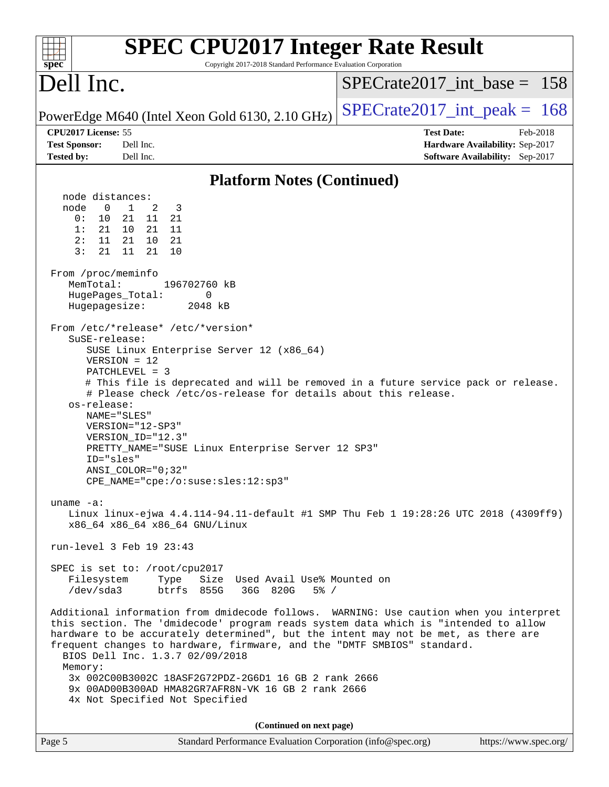| <b>SPEC CPU2017 Integer Rate Result</b><br>Copyright 2017-2018 Standard Performance Evaluation Corporation<br>spec <sup>®</sup>                                                                                                                                                                                                                                                                                                                                                                                                                                                                                                                   |                                                                                                     |
|---------------------------------------------------------------------------------------------------------------------------------------------------------------------------------------------------------------------------------------------------------------------------------------------------------------------------------------------------------------------------------------------------------------------------------------------------------------------------------------------------------------------------------------------------------------------------------------------------------------------------------------------------|-----------------------------------------------------------------------------------------------------|
| Dell Inc.                                                                                                                                                                                                                                                                                                                                                                                                                                                                                                                                                                                                                                         | $SPECrate2017\_int\_base = 158$                                                                     |
| PowerEdge M640 (Intel Xeon Gold 6130, 2.10 GHz)                                                                                                                                                                                                                                                                                                                                                                                                                                                                                                                                                                                                   | $SPECrate2017\_int\_peak = 168$                                                                     |
| CPU2017 License: 55<br><b>Test Sponsor:</b><br>Dell Inc.<br><b>Tested by:</b><br>Dell Inc.                                                                                                                                                                                                                                                                                                                                                                                                                                                                                                                                                        | <b>Test Date:</b><br>Feb-2018<br>Hardware Availability: Sep-2017<br>Software Availability: Sep-2017 |
| <b>Platform Notes (Continued)</b>                                                                                                                                                                                                                                                                                                                                                                                                                                                                                                                                                                                                                 |                                                                                                     |
| node distances:<br>$\overline{0}$<br>$\mathbf{1}$<br>2<br>node<br>3<br>0:<br>10<br>21<br>11<br>21<br>1:<br>21<br>10 21<br>11<br>2:<br>11<br>21<br>21<br>10<br>3:<br>11<br>10<br>21<br>21<br>From /proc/meminfo<br>MemTotal:<br>196702760 kB<br>HugePages_Total:<br>0<br>Hugepagesize:<br>2048 kB<br>From /etc/*release* /etc/*version*<br>SuSE-release:<br>SUSE Linux Enterprise Server 12 (x86_64)<br>$VERSION = 12$<br>PATCHLEVEL = 3<br># This file is deprecated and will be removed in a future service pack or release.<br># Please check /etc/os-release for details about this release.<br>os-release:<br>NAME="SLES"<br>VERSION="12-SP3" |                                                                                                     |
| VERSION_ID="12.3"<br>PRETTY_NAME="SUSE Linux Enterprise Server 12 SP3"<br>ID="sles"<br>$ANSI\_COLOR = "0; 32"$<br>$CPE\_NAME = "cpe://o:suse: sles:12:sp3"$                                                                                                                                                                                                                                                                                                                                                                                                                                                                                       |                                                                                                     |
| uname $-a$ :<br>Linux linux-ejwa 4.4.114-94.11-default #1 SMP Thu Feb 1 19:28:26 UTC 2018 (4309ff9)<br>x86_64 x86_64 x86_64 GNU/Linux                                                                                                                                                                                                                                                                                                                                                                                                                                                                                                             |                                                                                                     |
| run-level 3 Feb 19 23:43                                                                                                                                                                                                                                                                                                                                                                                                                                                                                                                                                                                                                          |                                                                                                     |
| SPEC is set to: /root/cpu2017<br>Filesystem<br>Size Used Avail Use% Mounted on<br>Type<br>/dev/sda3<br>btrfs 855G 36G 820G<br>$5\%$ /                                                                                                                                                                                                                                                                                                                                                                                                                                                                                                             |                                                                                                     |
| Additional information from dmidecode follows. WARNING: Use caution when you interpret<br>this section. The 'dmidecode' program reads system data which is "intended to allow<br>hardware to be accurately determined", but the intent may not be met, as there are<br>frequent changes to hardware, firmware, and the "DMTF SMBIOS" standard.<br>BIOS Dell Inc. 1.3.7 02/09/2018<br>Memory:<br>3x 002C00B3002C 18ASF2G72PDZ-2G6D1 16 GB 2 rank 2666<br>9x 00AD00B300AD HMA82GR7AFR8N-VK 16 GB 2 rank 2666                                                                                                                                        |                                                                                                     |
| 4x Not Specified Not Specified                                                                                                                                                                                                                                                                                                                                                                                                                                                                                                                                                                                                                    |                                                                                                     |
| (Continued on next page)                                                                                                                                                                                                                                                                                                                                                                                                                                                                                                                                                                                                                          |                                                                                                     |
| Standard Performance Evaluation Corporation (info@spec.org)<br>Page 5                                                                                                                                                                                                                                                                                                                                                                                                                                                                                                                                                                             | https://www.spec.org/                                                                               |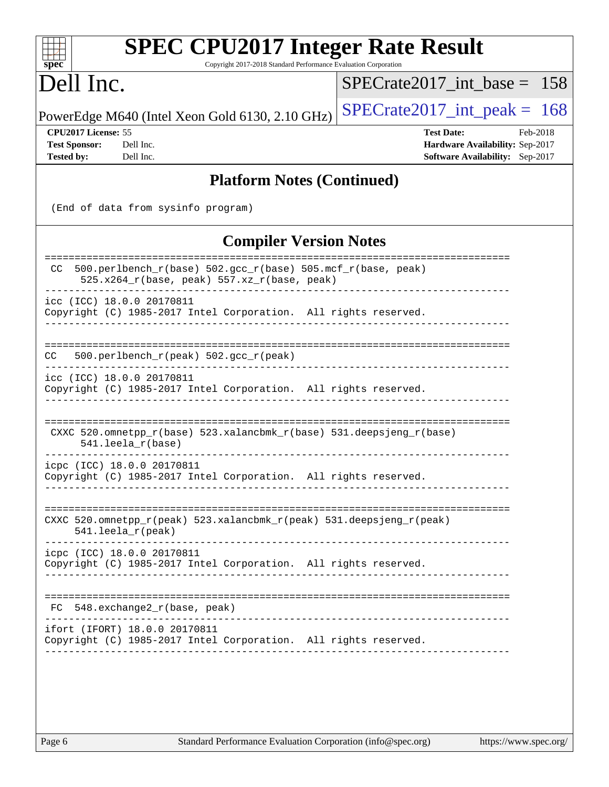| <b>SPEC CPU2017 Integer Rate Result</b><br>Copyright 2017-2018 Standard Performance Evaluation Corporation<br>spec <sup>®</sup>     |                                                                                                            |
|-------------------------------------------------------------------------------------------------------------------------------------|------------------------------------------------------------------------------------------------------------|
| Dell Inc.                                                                                                                           | $SPECrate2017$ int base = 158                                                                              |
| PowerEdge M640 (Intel Xeon Gold 6130, 2.10 GHz)                                                                                     | $SPECrate2017\_int\_peak = 168$                                                                            |
| CPU2017 License: 55<br><b>Test Sponsor:</b><br>Dell Inc.<br><b>Tested by:</b><br>Dell Inc.                                          | <b>Test Date:</b><br>Feb-2018<br>Hardware Availability: Sep-2017<br><b>Software Availability:</b> Sep-2017 |
| <b>Platform Notes (Continued)</b>                                                                                                   |                                                                                                            |
| (End of data from sysinfo program)                                                                                                  |                                                                                                            |
| <b>Compiler Version Notes</b>                                                                                                       |                                                                                                            |
| 500.perlbench_r(base) 502.gcc_r(base) 505.mcf_r(base, peak)<br>CC.<br>525.x264_r(base, peak) 557.xz_r(base, peak)                   | ======================                                                                                     |
| icc (ICC) 18.0.0 20170811<br>Copyright (C) 1985-2017 Intel Corporation. All rights reserved.                                        |                                                                                                            |
| 500.perlbench_r(peak) 502.gcc_r(peak)<br>CC.                                                                                        |                                                                                                            |
| icc (ICC) 18.0.0 20170811<br>Copyright (C) 1985-2017 Intel Corporation. All rights reserved.                                        |                                                                                                            |
| CXXC 520.omnetpp_r(base) 523.xalancbmk_r(base) 531.deepsjeng_r(base)<br>$541.$ leela $r(base)$                                      |                                                                                                            |
| icpc (ICC) 18.0.0 20170811<br>Copyright (C) 1985-2017 Intel Corporation. All rights reserved.                                       |                                                                                                            |
| CXXC 520.omnetpp_r(peak) 523.xalancbmk_r(peak) 531.deepsjeng_r(peak)<br>541.leela_r(peak)                                           |                                                                                                            |
| icpc (ICC) 18.0.0 20170811<br>Copyright (C) 1985-2017 Intel Corporation. All rights reserved.                                       |                                                                                                            |
| FC 548.exchange2_r(base, peak)                                                                                                      |                                                                                                            |
| ifort (IFORT) 18.0.0 20170811<br>Copyright (C) 1985-2017 Intel Corporation. All rights reserved.<br>_______________________________ |                                                                                                            |
|                                                                                                                                     |                                                                                                            |
|                                                                                                                                     |                                                                                                            |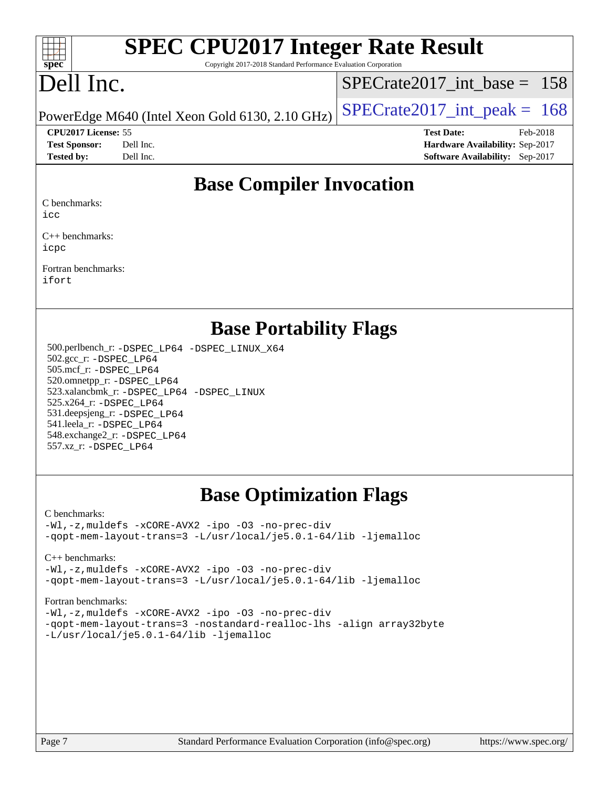

# **[SPEC CPU2017 Integer Rate Result](http://www.spec.org/auto/cpu2017/Docs/result-fields.html#SPECCPU2017IntegerRateResult)**

Copyright 2017-2018 Standard Performance Evaluation Corporation

# Dell Inc.

[SPECrate2017\\_int\\_base =](http://www.spec.org/auto/cpu2017/Docs/result-fields.html#SPECrate2017intbase) 158

**[Tested by:](http://www.spec.org/auto/cpu2017/Docs/result-fields.html#Testedby)** Dell Inc. **[Software Availability:](http://www.spec.org/auto/cpu2017/Docs/result-fields.html#SoftwareAvailability)** Sep-2017

PowerEdge M640 (Intel Xeon Gold 6130, 2.10 GHz)  $\left|$  [SPECrate2017\\_int\\_peak =](http://www.spec.org/auto/cpu2017/Docs/result-fields.html#SPECrate2017intpeak) 168

**[CPU2017 License:](http://www.spec.org/auto/cpu2017/Docs/result-fields.html#CPU2017License)** 55 **[Test Date:](http://www.spec.org/auto/cpu2017/Docs/result-fields.html#TestDate)** Feb-2018 **[Test Sponsor:](http://www.spec.org/auto/cpu2017/Docs/result-fields.html#TestSponsor)** Dell Inc. **[Hardware Availability:](http://www.spec.org/auto/cpu2017/Docs/result-fields.html#HardwareAvailability)** Sep-2017

## **[Base Compiler Invocation](http://www.spec.org/auto/cpu2017/Docs/result-fields.html#BaseCompilerInvocation)**

[C benchmarks:](http://www.spec.org/auto/cpu2017/Docs/result-fields.html#Cbenchmarks)

[icc](http://www.spec.org/cpu2017/results/res2018q1/cpu2017-20180305-03864.flags.html#user_CCbase_intel_icc_18.0_66fc1ee009f7361af1fbd72ca7dcefbb700085f36577c54f309893dd4ec40d12360134090235512931783d35fd58c0460139e722d5067c5574d8eaf2b3e37e92)

[C++ benchmarks](http://www.spec.org/auto/cpu2017/Docs/result-fields.html#CXXbenchmarks): [icpc](http://www.spec.org/cpu2017/results/res2018q1/cpu2017-20180305-03864.flags.html#user_CXXbase_intel_icpc_18.0_c510b6838c7f56d33e37e94d029a35b4a7bccf4766a728ee175e80a419847e808290a9b78be685c44ab727ea267ec2f070ec5dc83b407c0218cded6866a35d07)

[Fortran benchmarks:](http://www.spec.org/auto/cpu2017/Docs/result-fields.html#Fortranbenchmarks) [ifort](http://www.spec.org/cpu2017/results/res2018q1/cpu2017-20180305-03864.flags.html#user_FCbase_intel_ifort_18.0_8111460550e3ca792625aed983ce982f94888b8b503583aa7ba2b8303487b4d8a21a13e7191a45c5fd58ff318f48f9492884d4413fa793fd88dd292cad7027ca)

## **[Base Portability Flags](http://www.spec.org/auto/cpu2017/Docs/result-fields.html#BasePortabilityFlags)**

 500.perlbench\_r: [-DSPEC\\_LP64](http://www.spec.org/cpu2017/results/res2018q1/cpu2017-20180305-03864.flags.html#b500.perlbench_r_basePORTABILITY_DSPEC_LP64) [-DSPEC\\_LINUX\\_X64](http://www.spec.org/cpu2017/results/res2018q1/cpu2017-20180305-03864.flags.html#b500.perlbench_r_baseCPORTABILITY_DSPEC_LINUX_X64) 502.gcc\_r: [-DSPEC\\_LP64](http://www.spec.org/cpu2017/results/res2018q1/cpu2017-20180305-03864.flags.html#suite_basePORTABILITY502_gcc_r_DSPEC_LP64) 505.mcf\_r: [-DSPEC\\_LP64](http://www.spec.org/cpu2017/results/res2018q1/cpu2017-20180305-03864.flags.html#suite_basePORTABILITY505_mcf_r_DSPEC_LP64) 520.omnetpp\_r: [-DSPEC\\_LP64](http://www.spec.org/cpu2017/results/res2018q1/cpu2017-20180305-03864.flags.html#suite_basePORTABILITY520_omnetpp_r_DSPEC_LP64) 523.xalancbmk\_r: [-DSPEC\\_LP64](http://www.spec.org/cpu2017/results/res2018q1/cpu2017-20180305-03864.flags.html#suite_basePORTABILITY523_xalancbmk_r_DSPEC_LP64) [-DSPEC\\_LINUX](http://www.spec.org/cpu2017/results/res2018q1/cpu2017-20180305-03864.flags.html#b523.xalancbmk_r_baseCXXPORTABILITY_DSPEC_LINUX) 525.x264\_r: [-DSPEC\\_LP64](http://www.spec.org/cpu2017/results/res2018q1/cpu2017-20180305-03864.flags.html#suite_basePORTABILITY525_x264_r_DSPEC_LP64) 531.deepsjeng\_r: [-DSPEC\\_LP64](http://www.spec.org/cpu2017/results/res2018q1/cpu2017-20180305-03864.flags.html#suite_basePORTABILITY531_deepsjeng_r_DSPEC_LP64) 541.leela\_r: [-DSPEC\\_LP64](http://www.spec.org/cpu2017/results/res2018q1/cpu2017-20180305-03864.flags.html#suite_basePORTABILITY541_leela_r_DSPEC_LP64) 548.exchange2\_r: [-DSPEC\\_LP64](http://www.spec.org/cpu2017/results/res2018q1/cpu2017-20180305-03864.flags.html#suite_basePORTABILITY548_exchange2_r_DSPEC_LP64) 557.xz\_r: [-DSPEC\\_LP64](http://www.spec.org/cpu2017/results/res2018q1/cpu2017-20180305-03864.flags.html#suite_basePORTABILITY557_xz_r_DSPEC_LP64)

## **[Base Optimization Flags](http://www.spec.org/auto/cpu2017/Docs/result-fields.html#BaseOptimizationFlags)**

#### [C benchmarks](http://www.spec.org/auto/cpu2017/Docs/result-fields.html#Cbenchmarks):

[-Wl,-z,muldefs](http://www.spec.org/cpu2017/results/res2018q1/cpu2017-20180305-03864.flags.html#user_CCbase_link_force_multiple1_b4cbdb97b34bdee9ceefcfe54f4c8ea74255f0b02a4b23e853cdb0e18eb4525ac79b5a88067c842dd0ee6996c24547a27a4b99331201badda8798ef8a743f577) [-xCORE-AVX2](http://www.spec.org/cpu2017/results/res2018q1/cpu2017-20180305-03864.flags.html#user_CCbase_f-xCORE-AVX2) [-ipo](http://www.spec.org/cpu2017/results/res2018q1/cpu2017-20180305-03864.flags.html#user_CCbase_f-ipo) [-O3](http://www.spec.org/cpu2017/results/res2018q1/cpu2017-20180305-03864.flags.html#user_CCbase_f-O3) [-no-prec-div](http://www.spec.org/cpu2017/results/res2018q1/cpu2017-20180305-03864.flags.html#user_CCbase_f-no-prec-div) [-qopt-mem-layout-trans=3](http://www.spec.org/cpu2017/results/res2018q1/cpu2017-20180305-03864.flags.html#user_CCbase_f-qopt-mem-layout-trans_de80db37974c74b1f0e20d883f0b675c88c3b01e9d123adea9b28688d64333345fb62bc4a798493513fdb68f60282f9a726aa07f478b2f7113531aecce732043) [-L/usr/local/je5.0.1-64/lib](http://www.spec.org/cpu2017/results/res2018q1/cpu2017-20180305-03864.flags.html#user_CCbase_jemalloc_link_path64_4b10a636b7bce113509b17f3bd0d6226c5fb2346b9178c2d0232c14f04ab830f976640479e5c33dc2bcbbdad86ecfb6634cbbd4418746f06f368b512fced5394) [-ljemalloc](http://www.spec.org/cpu2017/results/res2018q1/cpu2017-20180305-03864.flags.html#user_CCbase_jemalloc_link_lib_d1249b907c500fa1c0672f44f562e3d0f79738ae9e3c4a9c376d49f265a04b9c99b167ecedbf6711b3085be911c67ff61f150a17b3472be731631ba4d0471706)

[C++ benchmarks:](http://www.spec.org/auto/cpu2017/Docs/result-fields.html#CXXbenchmarks)

[-Wl,-z,muldefs](http://www.spec.org/cpu2017/results/res2018q1/cpu2017-20180305-03864.flags.html#user_CXXbase_link_force_multiple1_b4cbdb97b34bdee9ceefcfe54f4c8ea74255f0b02a4b23e853cdb0e18eb4525ac79b5a88067c842dd0ee6996c24547a27a4b99331201badda8798ef8a743f577) [-xCORE-AVX2](http://www.spec.org/cpu2017/results/res2018q1/cpu2017-20180305-03864.flags.html#user_CXXbase_f-xCORE-AVX2) [-ipo](http://www.spec.org/cpu2017/results/res2018q1/cpu2017-20180305-03864.flags.html#user_CXXbase_f-ipo) [-O3](http://www.spec.org/cpu2017/results/res2018q1/cpu2017-20180305-03864.flags.html#user_CXXbase_f-O3) [-no-prec-div](http://www.spec.org/cpu2017/results/res2018q1/cpu2017-20180305-03864.flags.html#user_CXXbase_f-no-prec-div) [-qopt-mem-layout-trans=3](http://www.spec.org/cpu2017/results/res2018q1/cpu2017-20180305-03864.flags.html#user_CXXbase_f-qopt-mem-layout-trans_de80db37974c74b1f0e20d883f0b675c88c3b01e9d123adea9b28688d64333345fb62bc4a798493513fdb68f60282f9a726aa07f478b2f7113531aecce732043) [-L/usr/local/je5.0.1-64/lib](http://www.spec.org/cpu2017/results/res2018q1/cpu2017-20180305-03864.flags.html#user_CXXbase_jemalloc_link_path64_4b10a636b7bce113509b17f3bd0d6226c5fb2346b9178c2d0232c14f04ab830f976640479e5c33dc2bcbbdad86ecfb6634cbbd4418746f06f368b512fced5394) [-ljemalloc](http://www.spec.org/cpu2017/results/res2018q1/cpu2017-20180305-03864.flags.html#user_CXXbase_jemalloc_link_lib_d1249b907c500fa1c0672f44f562e3d0f79738ae9e3c4a9c376d49f265a04b9c99b167ecedbf6711b3085be911c67ff61f150a17b3472be731631ba4d0471706)

#### [Fortran benchmarks](http://www.spec.org/auto/cpu2017/Docs/result-fields.html#Fortranbenchmarks):

[-Wl,-z,muldefs](http://www.spec.org/cpu2017/results/res2018q1/cpu2017-20180305-03864.flags.html#user_FCbase_link_force_multiple1_b4cbdb97b34bdee9ceefcfe54f4c8ea74255f0b02a4b23e853cdb0e18eb4525ac79b5a88067c842dd0ee6996c24547a27a4b99331201badda8798ef8a743f577) [-xCORE-AVX2](http://www.spec.org/cpu2017/results/res2018q1/cpu2017-20180305-03864.flags.html#user_FCbase_f-xCORE-AVX2) [-ipo](http://www.spec.org/cpu2017/results/res2018q1/cpu2017-20180305-03864.flags.html#user_FCbase_f-ipo) [-O3](http://www.spec.org/cpu2017/results/res2018q1/cpu2017-20180305-03864.flags.html#user_FCbase_f-O3) [-no-prec-div](http://www.spec.org/cpu2017/results/res2018q1/cpu2017-20180305-03864.flags.html#user_FCbase_f-no-prec-div) [-qopt-mem-layout-trans=3](http://www.spec.org/cpu2017/results/res2018q1/cpu2017-20180305-03864.flags.html#user_FCbase_f-qopt-mem-layout-trans_de80db37974c74b1f0e20d883f0b675c88c3b01e9d123adea9b28688d64333345fb62bc4a798493513fdb68f60282f9a726aa07f478b2f7113531aecce732043) [-nostandard-realloc-lhs](http://www.spec.org/cpu2017/results/res2018q1/cpu2017-20180305-03864.flags.html#user_FCbase_f_2003_std_realloc_82b4557e90729c0f113870c07e44d33d6f5a304b4f63d4c15d2d0f1fab99f5daaed73bdb9275d9ae411527f28b936061aa8b9c8f2d63842963b95c9dd6426b8a) [-align array32byte](http://www.spec.org/cpu2017/results/res2018q1/cpu2017-20180305-03864.flags.html#user_FCbase_align_array32byte_b982fe038af199962ba9a80c053b8342c548c85b40b8e86eb3cc33dee0d7986a4af373ac2d51c3f7cf710a18d62fdce2948f201cd044323541f22fc0fffc51b6) [-L/usr/local/je5.0.1-64/lib](http://www.spec.org/cpu2017/results/res2018q1/cpu2017-20180305-03864.flags.html#user_FCbase_jemalloc_link_path64_4b10a636b7bce113509b17f3bd0d6226c5fb2346b9178c2d0232c14f04ab830f976640479e5c33dc2bcbbdad86ecfb6634cbbd4418746f06f368b512fced5394) [-ljemalloc](http://www.spec.org/cpu2017/results/res2018q1/cpu2017-20180305-03864.flags.html#user_FCbase_jemalloc_link_lib_d1249b907c500fa1c0672f44f562e3d0f79738ae9e3c4a9c376d49f265a04b9c99b167ecedbf6711b3085be911c67ff61f150a17b3472be731631ba4d0471706)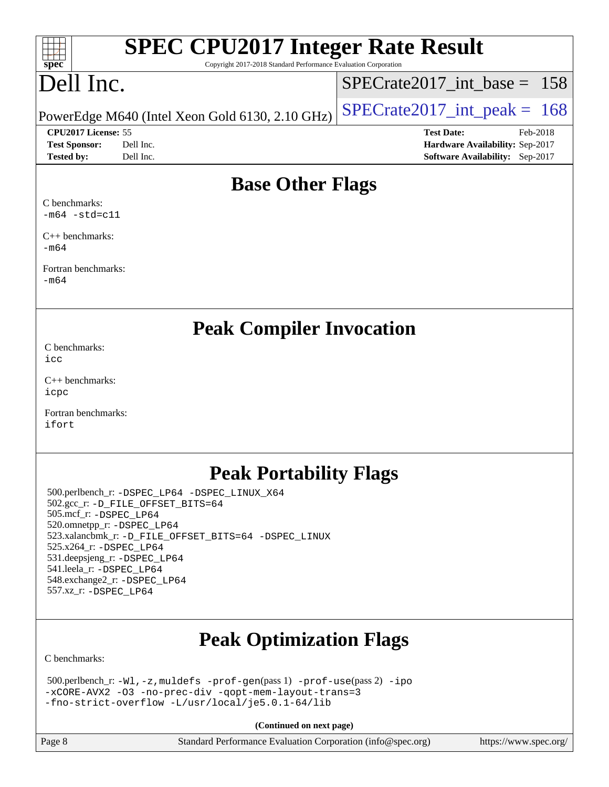| <b>SPEC CPU2017 Integer Rate Result</b> |
|-----------------------------------------|
|-----------------------------------------|

Copyright 2017-2018 Standard Performance Evaluation Corporation

# Dell Inc.

**[spec](http://www.spec.org/)**

 $+\ +$ 

[SPECrate2017\\_int\\_base =](http://www.spec.org/auto/cpu2017/Docs/result-fields.html#SPECrate2017intbase) 158

PowerEdge M640 (Intel Xeon Gold 6130, 2.10 GHz)  $\left|$  [SPECrate2017\\_int\\_peak =](http://www.spec.org/auto/cpu2017/Docs/result-fields.html#SPECrate2017intpeak) 168

**[CPU2017 License:](http://www.spec.org/auto/cpu2017/Docs/result-fields.html#CPU2017License)** 55 **[Test Date:](http://www.spec.org/auto/cpu2017/Docs/result-fields.html#TestDate)** Feb-2018 **[Test Sponsor:](http://www.spec.org/auto/cpu2017/Docs/result-fields.html#TestSponsor)** Dell Inc. **[Hardware Availability:](http://www.spec.org/auto/cpu2017/Docs/result-fields.html#HardwareAvailability)** Sep-2017 **[Tested by:](http://www.spec.org/auto/cpu2017/Docs/result-fields.html#Testedby)** Dell Inc. **[Software Availability:](http://www.spec.org/auto/cpu2017/Docs/result-fields.html#SoftwareAvailability)** Sep-2017

## **[Base Other Flags](http://www.spec.org/auto/cpu2017/Docs/result-fields.html#BaseOtherFlags)**

[C benchmarks:](http://www.spec.org/auto/cpu2017/Docs/result-fields.html#Cbenchmarks)  $-m64$   $-std=cl1$ 

[C++ benchmarks:](http://www.spec.org/auto/cpu2017/Docs/result-fields.html#CXXbenchmarks) [-m64](http://www.spec.org/cpu2017/results/res2018q1/cpu2017-20180305-03864.flags.html#user_CXXbase_intel_intel64_18.0_af43caccfc8ded86e7699f2159af6efc7655f51387b94da716254467f3c01020a5059329e2569e4053f409e7c9202a7efc638f7a6d1ffb3f52dea4a3e31d82ab)

[Fortran benchmarks](http://www.spec.org/auto/cpu2017/Docs/result-fields.html#Fortranbenchmarks): [-m64](http://www.spec.org/cpu2017/results/res2018q1/cpu2017-20180305-03864.flags.html#user_FCbase_intel_intel64_18.0_af43caccfc8ded86e7699f2159af6efc7655f51387b94da716254467f3c01020a5059329e2569e4053f409e7c9202a7efc638f7a6d1ffb3f52dea4a3e31d82ab)

**[Peak Compiler Invocation](http://www.spec.org/auto/cpu2017/Docs/result-fields.html#PeakCompilerInvocation)**

[C benchmarks](http://www.spec.org/auto/cpu2017/Docs/result-fields.html#Cbenchmarks): [icc](http://www.spec.org/cpu2017/results/res2018q1/cpu2017-20180305-03864.flags.html#user_CCpeak_intel_icc_18.0_66fc1ee009f7361af1fbd72ca7dcefbb700085f36577c54f309893dd4ec40d12360134090235512931783d35fd58c0460139e722d5067c5574d8eaf2b3e37e92)

[C++ benchmarks:](http://www.spec.org/auto/cpu2017/Docs/result-fields.html#CXXbenchmarks) [icpc](http://www.spec.org/cpu2017/results/res2018q1/cpu2017-20180305-03864.flags.html#user_CXXpeak_intel_icpc_18.0_c510b6838c7f56d33e37e94d029a35b4a7bccf4766a728ee175e80a419847e808290a9b78be685c44ab727ea267ec2f070ec5dc83b407c0218cded6866a35d07)

[Fortran benchmarks](http://www.spec.org/auto/cpu2017/Docs/result-fields.html#Fortranbenchmarks): [ifort](http://www.spec.org/cpu2017/results/res2018q1/cpu2017-20180305-03864.flags.html#user_FCpeak_intel_ifort_18.0_8111460550e3ca792625aed983ce982f94888b8b503583aa7ba2b8303487b4d8a21a13e7191a45c5fd58ff318f48f9492884d4413fa793fd88dd292cad7027ca)

## **[Peak Portability Flags](http://www.spec.org/auto/cpu2017/Docs/result-fields.html#PeakPortabilityFlags)**

 500.perlbench\_r: [-DSPEC\\_LP64](http://www.spec.org/cpu2017/results/res2018q1/cpu2017-20180305-03864.flags.html#b500.perlbench_r_peakPORTABILITY_DSPEC_LP64) [-DSPEC\\_LINUX\\_X64](http://www.spec.org/cpu2017/results/res2018q1/cpu2017-20180305-03864.flags.html#b500.perlbench_r_peakCPORTABILITY_DSPEC_LINUX_X64) 502.gcc\_r: [-D\\_FILE\\_OFFSET\\_BITS=64](http://www.spec.org/cpu2017/results/res2018q1/cpu2017-20180305-03864.flags.html#user_peakPORTABILITY502_gcc_r_file_offset_bits_64_5ae949a99b284ddf4e95728d47cb0843d81b2eb0e18bdfe74bbf0f61d0b064f4bda2f10ea5eb90e1dcab0e84dbc592acfc5018bc955c18609f94ddb8d550002c) 505.mcf\_r: [-DSPEC\\_LP64](http://www.spec.org/cpu2017/results/res2018q1/cpu2017-20180305-03864.flags.html#suite_peakPORTABILITY505_mcf_r_DSPEC_LP64) 520.omnetpp\_r: [-DSPEC\\_LP64](http://www.spec.org/cpu2017/results/res2018q1/cpu2017-20180305-03864.flags.html#suite_peakPORTABILITY520_omnetpp_r_DSPEC_LP64) 523.xalancbmk\_r: [-D\\_FILE\\_OFFSET\\_BITS=64](http://www.spec.org/cpu2017/results/res2018q1/cpu2017-20180305-03864.flags.html#user_peakPORTABILITY523_xalancbmk_r_file_offset_bits_64_5ae949a99b284ddf4e95728d47cb0843d81b2eb0e18bdfe74bbf0f61d0b064f4bda2f10ea5eb90e1dcab0e84dbc592acfc5018bc955c18609f94ddb8d550002c) [-DSPEC\\_LINUX](http://www.spec.org/cpu2017/results/res2018q1/cpu2017-20180305-03864.flags.html#b523.xalancbmk_r_peakCXXPORTABILITY_DSPEC_LINUX) 525.x264\_r: [-DSPEC\\_LP64](http://www.spec.org/cpu2017/results/res2018q1/cpu2017-20180305-03864.flags.html#suite_peakPORTABILITY525_x264_r_DSPEC_LP64) 531.deepsjeng\_r: [-DSPEC\\_LP64](http://www.spec.org/cpu2017/results/res2018q1/cpu2017-20180305-03864.flags.html#suite_peakPORTABILITY531_deepsjeng_r_DSPEC_LP64) 541.leela\_r: [-DSPEC\\_LP64](http://www.spec.org/cpu2017/results/res2018q1/cpu2017-20180305-03864.flags.html#suite_peakPORTABILITY541_leela_r_DSPEC_LP64) 548.exchange2\_r: [-DSPEC\\_LP64](http://www.spec.org/cpu2017/results/res2018q1/cpu2017-20180305-03864.flags.html#suite_peakPORTABILITY548_exchange2_r_DSPEC_LP64) 557.xz\_r: [-DSPEC\\_LP64](http://www.spec.org/cpu2017/results/res2018q1/cpu2017-20180305-03864.flags.html#suite_peakPORTABILITY557_xz_r_DSPEC_LP64)

# **[Peak Optimization Flags](http://www.spec.org/auto/cpu2017/Docs/result-fields.html#PeakOptimizationFlags)**

[C benchmarks](http://www.spec.org/auto/cpu2017/Docs/result-fields.html#Cbenchmarks):

```
 500.perlbench_r: -Wl,-z,muldefs -prof-gen(pass 1) -prof-use(pass 2) -ipo
-xCORE-AVX2 -O3 -no-prec-div -qopt-mem-layout-trans=3
-fno-strict-overflow -L/usr/local/je5.0.1-64/lib
```
**(Continued on next page)**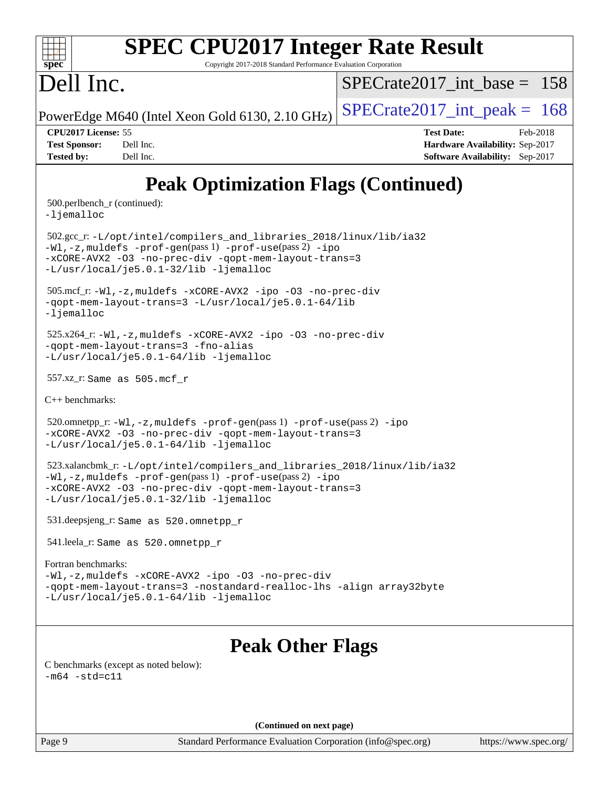| $\overline{\text{spec}^*}$ |  |
|----------------------------|--|
|                            |  |

# PEC CPU2017 Integer Rate Result

Copyright 2017-2018 Standard Performance Evaluation Corporation

# Dell Inc.

 $SPECrate2017\_int\_base = 158$ 

PowerEdge M640 (Intel Xeon Gold 6130, 2.10 GHz)  $\left|$  SPECrate 2017 int peak = 168

**[CPU2017 License:](http://www.spec.org/auto/cpu2017/Docs/result-fields.html#CPU2017License)** 55 **[Test Date:](http://www.spec.org/auto/cpu2017/Docs/result-fields.html#TestDate)** Feb-2018 **[Test Sponsor:](http://www.spec.org/auto/cpu2017/Docs/result-fields.html#TestSponsor)** Dell Inc. **[Hardware Availability:](http://www.spec.org/auto/cpu2017/Docs/result-fields.html#HardwareAvailability)** Sep-2017 **[Tested by:](http://www.spec.org/auto/cpu2017/Docs/result-fields.html#Testedby)** Dell Inc. **[Software Availability:](http://www.spec.org/auto/cpu2017/Docs/result-fields.html#SoftwareAvailability)** Sep-2017

# **[Peak Optimization Flags \(Continued\)](http://www.spec.org/auto/cpu2017/Docs/result-fields.html#PeakOptimizationFlags)**

 500.perlbench\_r (continued): [-ljemalloc](http://www.spec.org/cpu2017/results/res2018q1/cpu2017-20180305-03864.flags.html#user_peakEXTRA_LIBS500_perlbench_r_jemalloc_link_lib_d1249b907c500fa1c0672f44f562e3d0f79738ae9e3c4a9c376d49f265a04b9c99b167ecedbf6711b3085be911c67ff61f150a17b3472be731631ba4d0471706)

 502.gcc\_r: [-L/opt/intel/compilers\\_and\\_libraries\\_2018/linux/lib/ia32](http://www.spec.org/cpu2017/results/res2018q1/cpu2017-20180305-03864.flags.html#user_peakCCLD502_gcc_r_Enable-32bit-runtime_af243bdb1d79e4c7a4f720bf8275e627de2ecd461de63307bc14cef0633fde3cd7bb2facb32dcc8be9566045fb55d40ce2b72b725f73827aa7833441b71b9343) [-Wl,-z,muldefs](http://www.spec.org/cpu2017/results/res2018q1/cpu2017-20180305-03864.flags.html#user_peakEXTRA_LDFLAGS502_gcc_r_link_force_multiple1_b4cbdb97b34bdee9ceefcfe54f4c8ea74255f0b02a4b23e853cdb0e18eb4525ac79b5a88067c842dd0ee6996c24547a27a4b99331201badda8798ef8a743f577) [-prof-gen](http://www.spec.org/cpu2017/results/res2018q1/cpu2017-20180305-03864.flags.html#user_peakPASS1_CFLAGSPASS1_LDFLAGS502_gcc_r_prof_gen_5aa4926d6013ddb2a31985c654b3eb18169fc0c6952a63635c234f711e6e63dd76e94ad52365559451ec499a2cdb89e4dc58ba4c67ef54ca681ffbe1461d6b36)(pass 1) [-prof-use](http://www.spec.org/cpu2017/results/res2018q1/cpu2017-20180305-03864.flags.html#user_peakPASS2_CFLAGSPASS2_LDFLAGS502_gcc_r_prof_use_1a21ceae95f36a2b53c25747139a6c16ca95bd9def2a207b4f0849963b97e94f5260e30a0c64f4bb623698870e679ca08317ef8150905d41bd88c6f78df73f19)(pass 2) [-ipo](http://www.spec.org/cpu2017/results/res2018q1/cpu2017-20180305-03864.flags.html#user_peakPASS1_COPTIMIZEPASS2_COPTIMIZE502_gcc_r_f-ipo) [-xCORE-AVX2](http://www.spec.org/cpu2017/results/res2018q1/cpu2017-20180305-03864.flags.html#user_peakPASS2_COPTIMIZE502_gcc_r_f-xCORE-AVX2) [-O3](http://www.spec.org/cpu2017/results/res2018q1/cpu2017-20180305-03864.flags.html#user_peakPASS1_COPTIMIZEPASS2_COPTIMIZE502_gcc_r_f-O3) [-no-prec-div](http://www.spec.org/cpu2017/results/res2018q1/cpu2017-20180305-03864.flags.html#user_peakPASS1_COPTIMIZEPASS2_COPTIMIZE502_gcc_r_f-no-prec-div) [-qopt-mem-layout-trans=3](http://www.spec.org/cpu2017/results/res2018q1/cpu2017-20180305-03864.flags.html#user_peakPASS1_COPTIMIZEPASS2_COPTIMIZE502_gcc_r_f-qopt-mem-layout-trans_de80db37974c74b1f0e20d883f0b675c88c3b01e9d123adea9b28688d64333345fb62bc4a798493513fdb68f60282f9a726aa07f478b2f7113531aecce732043) [-L/usr/local/je5.0.1-32/lib](http://www.spec.org/cpu2017/results/res2018q1/cpu2017-20180305-03864.flags.html#user_peakEXTRA_LIBS502_gcc_r_jemalloc_link_path32_e29f22e8e6c17053bbc6a0971f5a9c01a601a06bb1a59df2084b77a2fe0a2995b64fd4256feaeea39eeba3aae142e96e2b2b0a28974019c0c0c88139a84f900a) [-ljemalloc](http://www.spec.org/cpu2017/results/res2018q1/cpu2017-20180305-03864.flags.html#user_peakEXTRA_LIBS502_gcc_r_jemalloc_link_lib_d1249b907c500fa1c0672f44f562e3d0f79738ae9e3c4a9c376d49f265a04b9c99b167ecedbf6711b3085be911c67ff61f150a17b3472be731631ba4d0471706)

 505.mcf\_r: [-Wl,-z,muldefs](http://www.spec.org/cpu2017/results/res2018q1/cpu2017-20180305-03864.flags.html#user_peakEXTRA_LDFLAGS505_mcf_r_link_force_multiple1_b4cbdb97b34bdee9ceefcfe54f4c8ea74255f0b02a4b23e853cdb0e18eb4525ac79b5a88067c842dd0ee6996c24547a27a4b99331201badda8798ef8a743f577) [-xCORE-AVX2](http://www.spec.org/cpu2017/results/res2018q1/cpu2017-20180305-03864.flags.html#user_peakCOPTIMIZE505_mcf_r_f-xCORE-AVX2) [-ipo](http://www.spec.org/cpu2017/results/res2018q1/cpu2017-20180305-03864.flags.html#user_peakCOPTIMIZE505_mcf_r_f-ipo) [-O3](http://www.spec.org/cpu2017/results/res2018q1/cpu2017-20180305-03864.flags.html#user_peakCOPTIMIZE505_mcf_r_f-O3) [-no-prec-div](http://www.spec.org/cpu2017/results/res2018q1/cpu2017-20180305-03864.flags.html#user_peakCOPTIMIZE505_mcf_r_f-no-prec-div) [-qopt-mem-layout-trans=3](http://www.spec.org/cpu2017/results/res2018q1/cpu2017-20180305-03864.flags.html#user_peakCOPTIMIZE505_mcf_r_f-qopt-mem-layout-trans_de80db37974c74b1f0e20d883f0b675c88c3b01e9d123adea9b28688d64333345fb62bc4a798493513fdb68f60282f9a726aa07f478b2f7113531aecce732043) [-L/usr/local/je5.0.1-64/lib](http://www.spec.org/cpu2017/results/res2018q1/cpu2017-20180305-03864.flags.html#user_peakEXTRA_LIBS505_mcf_r_jemalloc_link_path64_4b10a636b7bce113509b17f3bd0d6226c5fb2346b9178c2d0232c14f04ab830f976640479e5c33dc2bcbbdad86ecfb6634cbbd4418746f06f368b512fced5394) [-ljemalloc](http://www.spec.org/cpu2017/results/res2018q1/cpu2017-20180305-03864.flags.html#user_peakEXTRA_LIBS505_mcf_r_jemalloc_link_lib_d1249b907c500fa1c0672f44f562e3d0f79738ae9e3c4a9c376d49f265a04b9c99b167ecedbf6711b3085be911c67ff61f150a17b3472be731631ba4d0471706)

 525.x264\_r: [-Wl,-z,muldefs](http://www.spec.org/cpu2017/results/res2018q1/cpu2017-20180305-03864.flags.html#user_peakEXTRA_LDFLAGS525_x264_r_link_force_multiple1_b4cbdb97b34bdee9ceefcfe54f4c8ea74255f0b02a4b23e853cdb0e18eb4525ac79b5a88067c842dd0ee6996c24547a27a4b99331201badda8798ef8a743f577) [-xCORE-AVX2](http://www.spec.org/cpu2017/results/res2018q1/cpu2017-20180305-03864.flags.html#user_peakCOPTIMIZE525_x264_r_f-xCORE-AVX2) [-ipo](http://www.spec.org/cpu2017/results/res2018q1/cpu2017-20180305-03864.flags.html#user_peakCOPTIMIZE525_x264_r_f-ipo) [-O3](http://www.spec.org/cpu2017/results/res2018q1/cpu2017-20180305-03864.flags.html#user_peakCOPTIMIZE525_x264_r_f-O3) [-no-prec-div](http://www.spec.org/cpu2017/results/res2018q1/cpu2017-20180305-03864.flags.html#user_peakCOPTIMIZE525_x264_r_f-no-prec-div) [-qopt-mem-layout-trans=3](http://www.spec.org/cpu2017/results/res2018q1/cpu2017-20180305-03864.flags.html#user_peakCOPTIMIZE525_x264_r_f-qopt-mem-layout-trans_de80db37974c74b1f0e20d883f0b675c88c3b01e9d123adea9b28688d64333345fb62bc4a798493513fdb68f60282f9a726aa07f478b2f7113531aecce732043) [-fno-alias](http://www.spec.org/cpu2017/results/res2018q1/cpu2017-20180305-03864.flags.html#user_peakEXTRA_OPTIMIZE525_x264_r_f-no-alias_77dbac10d91cbfe898fbf4a29d1b29b694089caa623bdd1baccc9957d4edbe8d106c0b357e2748a65b44fc9e83d78098bb898077f3fe92f9faf24f7bd4a07ed7) [-L/usr/local/je5.0.1-64/lib](http://www.spec.org/cpu2017/results/res2018q1/cpu2017-20180305-03864.flags.html#user_peakEXTRA_LIBS525_x264_r_jemalloc_link_path64_4b10a636b7bce113509b17f3bd0d6226c5fb2346b9178c2d0232c14f04ab830f976640479e5c33dc2bcbbdad86ecfb6634cbbd4418746f06f368b512fced5394) [-ljemalloc](http://www.spec.org/cpu2017/results/res2018q1/cpu2017-20180305-03864.flags.html#user_peakEXTRA_LIBS525_x264_r_jemalloc_link_lib_d1249b907c500fa1c0672f44f562e3d0f79738ae9e3c4a9c376d49f265a04b9c99b167ecedbf6711b3085be911c67ff61f150a17b3472be731631ba4d0471706)

557.xz\_r: Same as 505.mcf\_r

[C++ benchmarks:](http://www.spec.org/auto/cpu2017/Docs/result-fields.html#CXXbenchmarks)

520.omnetpp\_r: $-Wl$ ,-z,muldefs -prof-qen(pass 1) [-prof-use](http://www.spec.org/cpu2017/results/res2018q1/cpu2017-20180305-03864.flags.html#user_peakPASS2_CXXFLAGSPASS2_LDFLAGS520_omnetpp_r_prof_use_1a21ceae95f36a2b53c25747139a6c16ca95bd9def2a207b4f0849963b97e94f5260e30a0c64f4bb623698870e679ca08317ef8150905d41bd88c6f78df73f19)(pass 2) [-ipo](http://www.spec.org/cpu2017/results/res2018q1/cpu2017-20180305-03864.flags.html#user_peakPASS1_CXXOPTIMIZEPASS2_CXXOPTIMIZE520_omnetpp_r_f-ipo) [-xCORE-AVX2](http://www.spec.org/cpu2017/results/res2018q1/cpu2017-20180305-03864.flags.html#user_peakPASS2_CXXOPTIMIZE520_omnetpp_r_f-xCORE-AVX2) [-O3](http://www.spec.org/cpu2017/results/res2018q1/cpu2017-20180305-03864.flags.html#user_peakPASS1_CXXOPTIMIZEPASS2_CXXOPTIMIZE520_omnetpp_r_f-O3) [-no-prec-div](http://www.spec.org/cpu2017/results/res2018q1/cpu2017-20180305-03864.flags.html#user_peakPASS1_CXXOPTIMIZEPASS2_CXXOPTIMIZE520_omnetpp_r_f-no-prec-div) [-qopt-mem-layout-trans=3](http://www.spec.org/cpu2017/results/res2018q1/cpu2017-20180305-03864.flags.html#user_peakPASS1_CXXOPTIMIZEPASS2_CXXOPTIMIZE520_omnetpp_r_f-qopt-mem-layout-trans_de80db37974c74b1f0e20d883f0b675c88c3b01e9d123adea9b28688d64333345fb62bc4a798493513fdb68f60282f9a726aa07f478b2f7113531aecce732043) [-L/usr/local/je5.0.1-64/lib](http://www.spec.org/cpu2017/results/res2018q1/cpu2017-20180305-03864.flags.html#user_peakEXTRA_LIBS520_omnetpp_r_jemalloc_link_path64_4b10a636b7bce113509b17f3bd0d6226c5fb2346b9178c2d0232c14f04ab830f976640479e5c33dc2bcbbdad86ecfb6634cbbd4418746f06f368b512fced5394) [-ljemalloc](http://www.spec.org/cpu2017/results/res2018q1/cpu2017-20180305-03864.flags.html#user_peakEXTRA_LIBS520_omnetpp_r_jemalloc_link_lib_d1249b907c500fa1c0672f44f562e3d0f79738ae9e3c4a9c376d49f265a04b9c99b167ecedbf6711b3085be911c67ff61f150a17b3472be731631ba4d0471706)

 523.xalancbmk\_r: [-L/opt/intel/compilers\\_and\\_libraries\\_2018/linux/lib/ia32](http://www.spec.org/cpu2017/results/res2018q1/cpu2017-20180305-03864.flags.html#user_peakCXXLD523_xalancbmk_r_Enable-32bit-runtime_af243bdb1d79e4c7a4f720bf8275e627de2ecd461de63307bc14cef0633fde3cd7bb2facb32dcc8be9566045fb55d40ce2b72b725f73827aa7833441b71b9343) [-Wl,-z,muldefs](http://www.spec.org/cpu2017/results/res2018q1/cpu2017-20180305-03864.flags.html#user_peakEXTRA_LDFLAGS523_xalancbmk_r_link_force_multiple1_b4cbdb97b34bdee9ceefcfe54f4c8ea74255f0b02a4b23e853cdb0e18eb4525ac79b5a88067c842dd0ee6996c24547a27a4b99331201badda8798ef8a743f577) [-prof-gen](http://www.spec.org/cpu2017/results/res2018q1/cpu2017-20180305-03864.flags.html#user_peakPASS1_CXXFLAGSPASS1_LDFLAGS523_xalancbmk_r_prof_gen_5aa4926d6013ddb2a31985c654b3eb18169fc0c6952a63635c234f711e6e63dd76e94ad52365559451ec499a2cdb89e4dc58ba4c67ef54ca681ffbe1461d6b36)(pass 1) [-prof-use](http://www.spec.org/cpu2017/results/res2018q1/cpu2017-20180305-03864.flags.html#user_peakPASS2_CXXFLAGSPASS2_LDFLAGS523_xalancbmk_r_prof_use_1a21ceae95f36a2b53c25747139a6c16ca95bd9def2a207b4f0849963b97e94f5260e30a0c64f4bb623698870e679ca08317ef8150905d41bd88c6f78df73f19)(pass 2) [-ipo](http://www.spec.org/cpu2017/results/res2018q1/cpu2017-20180305-03864.flags.html#user_peakPASS1_CXXOPTIMIZEPASS2_CXXOPTIMIZE523_xalancbmk_r_f-ipo) [-xCORE-AVX2](http://www.spec.org/cpu2017/results/res2018q1/cpu2017-20180305-03864.flags.html#user_peakPASS2_CXXOPTIMIZE523_xalancbmk_r_f-xCORE-AVX2) [-O3](http://www.spec.org/cpu2017/results/res2018q1/cpu2017-20180305-03864.flags.html#user_peakPASS1_CXXOPTIMIZEPASS2_CXXOPTIMIZE523_xalancbmk_r_f-O3) [-no-prec-div](http://www.spec.org/cpu2017/results/res2018q1/cpu2017-20180305-03864.flags.html#user_peakPASS1_CXXOPTIMIZEPASS2_CXXOPTIMIZE523_xalancbmk_r_f-no-prec-div) [-qopt-mem-layout-trans=3](http://www.spec.org/cpu2017/results/res2018q1/cpu2017-20180305-03864.flags.html#user_peakPASS1_CXXOPTIMIZEPASS2_CXXOPTIMIZE523_xalancbmk_r_f-qopt-mem-layout-trans_de80db37974c74b1f0e20d883f0b675c88c3b01e9d123adea9b28688d64333345fb62bc4a798493513fdb68f60282f9a726aa07f478b2f7113531aecce732043) [-L/usr/local/je5.0.1-32/lib](http://www.spec.org/cpu2017/results/res2018q1/cpu2017-20180305-03864.flags.html#user_peakEXTRA_LIBS523_xalancbmk_r_jemalloc_link_path32_e29f22e8e6c17053bbc6a0971f5a9c01a601a06bb1a59df2084b77a2fe0a2995b64fd4256feaeea39eeba3aae142e96e2b2b0a28974019c0c0c88139a84f900a) [-ljemalloc](http://www.spec.org/cpu2017/results/res2018q1/cpu2017-20180305-03864.flags.html#user_peakEXTRA_LIBS523_xalancbmk_r_jemalloc_link_lib_d1249b907c500fa1c0672f44f562e3d0f79738ae9e3c4a9c376d49f265a04b9c99b167ecedbf6711b3085be911c67ff61f150a17b3472be731631ba4d0471706)

531.deepsjeng\_r: Same as 520.omnetpp\_r

541.leela\_r: Same as 520.omnetpp\_r

#### [Fortran benchmarks](http://www.spec.org/auto/cpu2017/Docs/result-fields.html#Fortranbenchmarks):

[-Wl,-z,muldefs](http://www.spec.org/cpu2017/results/res2018q1/cpu2017-20180305-03864.flags.html#user_FCpeak_link_force_multiple1_b4cbdb97b34bdee9ceefcfe54f4c8ea74255f0b02a4b23e853cdb0e18eb4525ac79b5a88067c842dd0ee6996c24547a27a4b99331201badda8798ef8a743f577) [-xCORE-AVX2](http://www.spec.org/cpu2017/results/res2018q1/cpu2017-20180305-03864.flags.html#user_FCpeak_f-xCORE-AVX2) [-ipo](http://www.spec.org/cpu2017/results/res2018q1/cpu2017-20180305-03864.flags.html#user_FCpeak_f-ipo) [-O3](http://www.spec.org/cpu2017/results/res2018q1/cpu2017-20180305-03864.flags.html#user_FCpeak_f-O3) [-no-prec-div](http://www.spec.org/cpu2017/results/res2018q1/cpu2017-20180305-03864.flags.html#user_FCpeak_f-no-prec-div) [-qopt-mem-layout-trans=3](http://www.spec.org/cpu2017/results/res2018q1/cpu2017-20180305-03864.flags.html#user_FCpeak_f-qopt-mem-layout-trans_de80db37974c74b1f0e20d883f0b675c88c3b01e9d123adea9b28688d64333345fb62bc4a798493513fdb68f60282f9a726aa07f478b2f7113531aecce732043) [-nostandard-realloc-lhs](http://www.spec.org/cpu2017/results/res2018q1/cpu2017-20180305-03864.flags.html#user_FCpeak_f_2003_std_realloc_82b4557e90729c0f113870c07e44d33d6f5a304b4f63d4c15d2d0f1fab99f5daaed73bdb9275d9ae411527f28b936061aa8b9c8f2d63842963b95c9dd6426b8a) [-align array32byte](http://www.spec.org/cpu2017/results/res2018q1/cpu2017-20180305-03864.flags.html#user_FCpeak_align_array32byte_b982fe038af199962ba9a80c053b8342c548c85b40b8e86eb3cc33dee0d7986a4af373ac2d51c3f7cf710a18d62fdce2948f201cd044323541f22fc0fffc51b6) [-L/usr/local/je5.0.1-64/lib](http://www.spec.org/cpu2017/results/res2018q1/cpu2017-20180305-03864.flags.html#user_FCpeak_jemalloc_link_path64_4b10a636b7bce113509b17f3bd0d6226c5fb2346b9178c2d0232c14f04ab830f976640479e5c33dc2bcbbdad86ecfb6634cbbd4418746f06f368b512fced5394) [-ljemalloc](http://www.spec.org/cpu2017/results/res2018q1/cpu2017-20180305-03864.flags.html#user_FCpeak_jemalloc_link_lib_d1249b907c500fa1c0672f44f562e3d0f79738ae9e3c4a9c376d49f265a04b9c99b167ecedbf6711b3085be911c67ff61f150a17b3472be731631ba4d0471706)

## **[Peak Other Flags](http://www.spec.org/auto/cpu2017/Docs/result-fields.html#PeakOtherFlags)**

[C benchmarks \(except as noted below\)](http://www.spec.org/auto/cpu2017/Docs/result-fields.html#Cbenchmarksexceptasnotedbelow):  $-m64 - std= c11$  $-m64 - std= c11$ 

**(Continued on next page)**